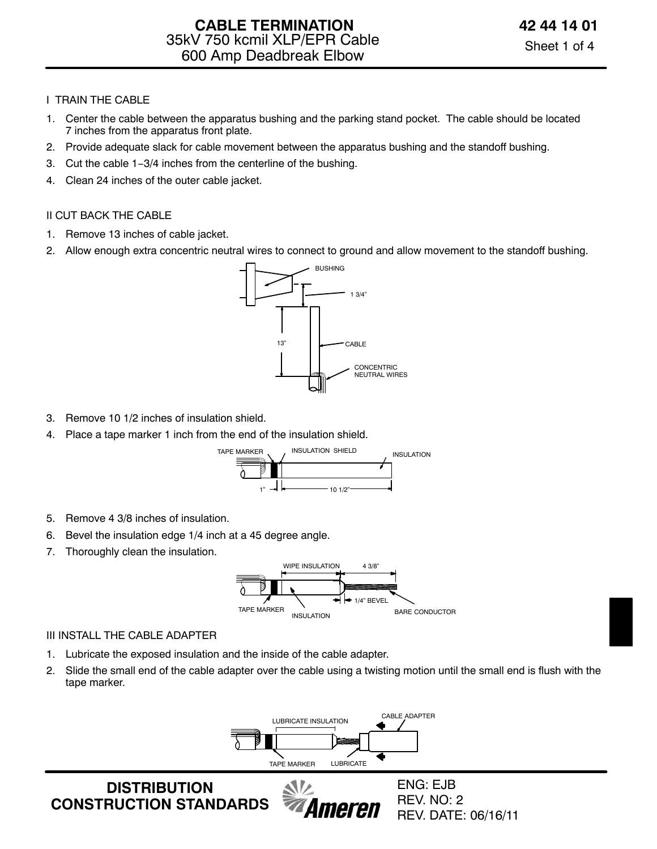## I TRAIN THE CABLE

- 1. Center the cable between the apparatus bushing and the parking stand pocket. The cable should be located 7 inches from the apparatus front plate.
- 2. Provide adequate slack for cable movement between the apparatus bushing and the standoff bushing.
- 3. Cut the cable 1−3/4 inches from the centerline of the bushing.
- 4. Clean 24 inches of the outer cable jacket.

## II CUT BACK THE CABLE

- 1. Remove 13 inches of cable jacket.
- 2. Allow enough extra concentric neutral wires to connect to ground and allow movement to the standoff bushing.



- 3. Remove 10 1/2 inches of insulation shield.
- 4. Place a tape marker 1 inch from the end of the insulation shield.



- 5. Remove 4 3/8 inches of insulation.
- 6. Bevel the insulation edge 1/4 inch at a 45 degree angle.
- 7. Thoroughly clean the insulation.



### III INSTALL THE CABLE ADAPTER

- 1. Lubricate the exposed insulation and the inside of the cable adapter.
- 2. Slide the small end of the cable adapter over the cable using a twisting motion until the small end is flush with the tape marker.

 $\mathcal{N}$ 



neren

**DISTRIBUTION CONSTRUCTION STANDARDS**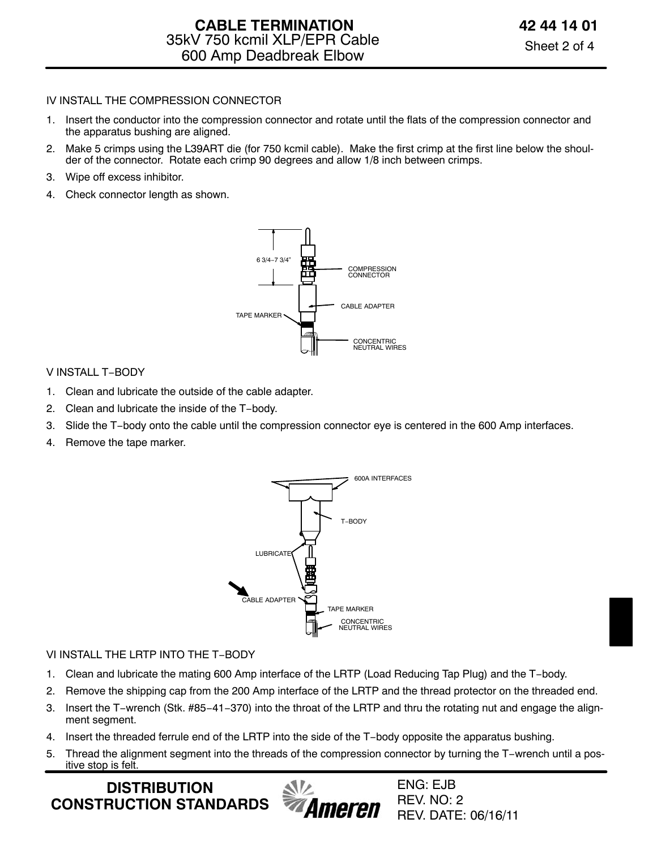## IV INSTALL THE COMPRESSION CONNECTOR

- 1. Insert the conductor into the compression connector and rotate until the flats of the compression connector and the apparatus bushing are aligned.
- 2. Make 5 crimps using the L39ART die (for 750 kcmil cable). Make the first crimp at the first line below the shoulder of the connector. Rotate each crimp 90 degrees and allow 1/8 inch between crimps.
- 3. Wipe off excess inhibitor.
- 4. Check connector length as shown.



### V INSTALL T−BODY

- 1. Clean and lubricate the outside of the cable adapter.
- 2. Clean and lubricate the inside of the T−body.
- 3. Slide the T−body onto the cable until the compression connector eye is centered in the 600 Amp interfaces.
- 4. Remove the tape marker.



#### VI INSTALL THE LRTP INTO THE T−BODY

- 1. Clean and lubricate the mating 600 Amp interface of the LRTP (Load Reducing Tap Plug) and the T−body.
- 2. Remove the shipping cap from the 200 Amp interface of the LRTP and the thread protector on the threaded end.
- 3. Insert the T−wrench (Stk. #85−41−370) into the throat of the LRTP and thru the rotating nut and engage the alignment segment.
- 4. Insert the threaded ferrule end of the LRTP into the side of the T−body opposite the apparatus bushing.
- 5. Thread the alignment segment into the threads of the compression connector by turning the T−wrench until a positive stop is felt.

**DISTRIBUTION CONSTRUCTION STANDARDS**

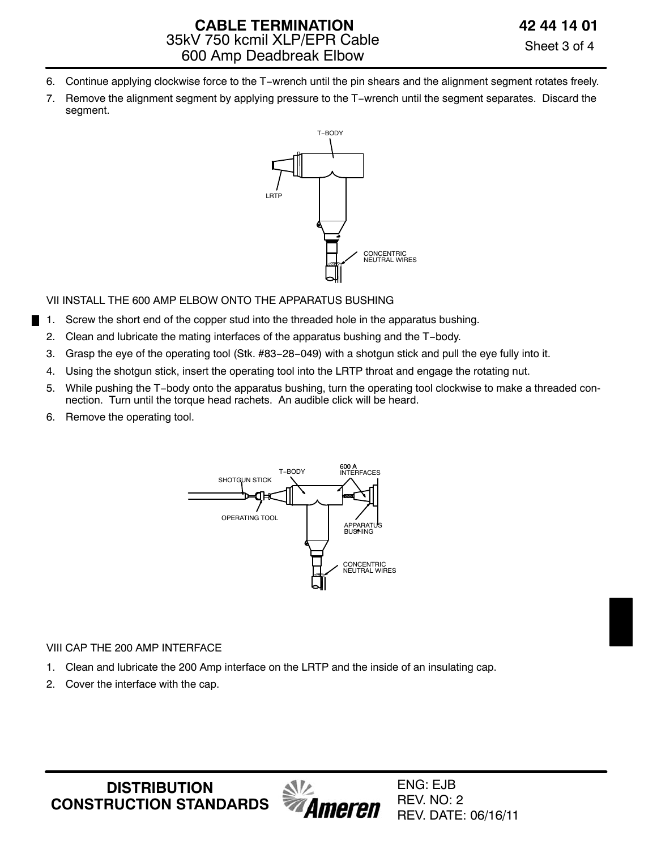- 6. Continue applying clockwise force to the T−wrench until the pin shears and the alignment segment rotates freely.
- 7. Remove the alignment segment by applying pressure to the T−wrench until the segment separates. Discard the segment.



VII INSTALL THE 600 AMP ELBOW ONTO THE APPARATUS BUSHING

- 1. Screw the short end of the copper stud into the threaded hole in the apparatus bushing.
- 2. Clean and lubricate the mating interfaces of the apparatus bushing and the T−body.
- 3. Grasp the eye of the operating tool (Stk. #83−28−049) with a shotgun stick and pull the eye fully into it.
- 4. Using the shotgun stick, insert the operating tool into the LRTP throat and engage the rotating nut.
- 5. While pushing the T−body onto the apparatus bushing, turn the operating tool clockwise to make a threaded connection. Turn until the torque head rachets. An audible click will be heard.
- 6. Remove the operating tool.



## VIII CAP THE 200 AMP INTERFACE

- 1. Clean and lubricate the 200 Amp interface on the LRTP and the inside of an insulating cap.
- 2. Cover the interface with the cap.

**DISTRIBUTION CONSTRUCTION STANDARDS**